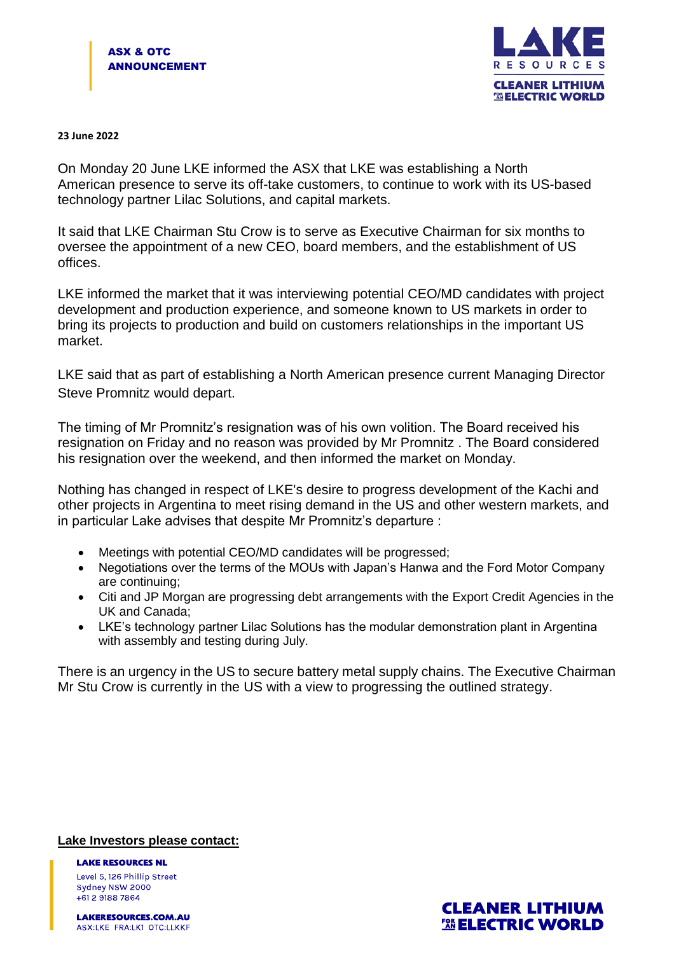

## **23 June 2022**

On Monday 20 June LKE informed the ASX that LKE was establishing a North American presence to serve its off-take customers, to continue to work with its US-based technology partner Lilac Solutions, and capital markets.

It said that LKE Chairman Stu Crow is to serve as Executive Chairman for six months to oversee the appointment of a new CEO, board members, and the establishment of US offices.

LKE informed the market that it was interviewing potential CEO/MD candidates with project development and production experience, and someone known to US markets in order to bring its projects to production and build on customers relationships in the important US market.

LKE said that as part of establishing a North American presence current Managing Director Steve Promnitz would depart.

The timing of Mr Promnitz's resignation was of his own volition. The Board received his resignation on Friday and no reason was provided by Mr Promnitz . The Board considered his resignation over the weekend, and then informed the market on Monday.

Nothing has changed in respect of LKE's desire to progress development of the Kachi and other projects in Argentina to meet rising demand in the US and other western markets, and in particular Lake advises that despite Mr Promnitz's departure :

- Meetings with potential CEO/MD candidates will be progressed;
- Negotiations over the terms of the MOUs with Japan's Hanwa and the Ford Motor Company are continuing;
- Citi and JP Morgan are progressing debt arrangements with the Export Credit Agencies in the UK and Canada;
- LKE's technology partner Lilac Solutions has the modular demonstration plant in Argentina with assembly and testing during July.

There is an urgency in the US to secure battery metal supply chains. The Executive Chairman Mr Stu Crow is currently in the US with a view to progressing the outlined strategy.

## **Lake Investors please contact:**

**LAKE RESOURCES NL** Level 5, 126 Phillip Street Sydney NSW 2000 +61 2 9188 7864

LAKERESOURCES.COM.AU ASX:LKE FRA:LK1 OTC:LLKKF

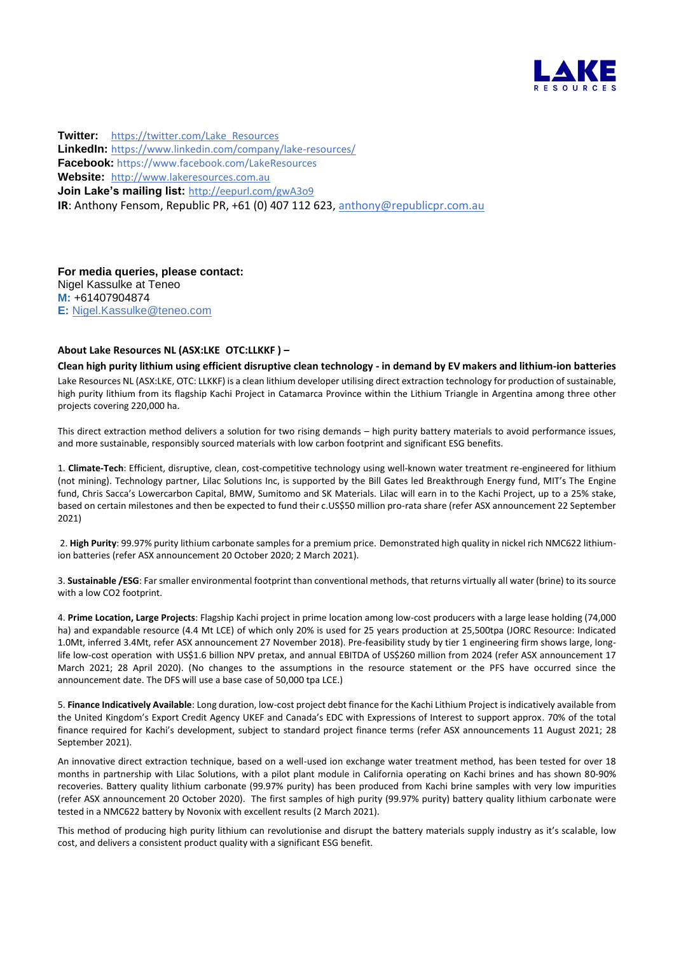

**Twitter:** [https://twitter.com/Lake\\_Resources](https://twitter.com/Lake_Resources) **LinkedIn:** <https://www.linkedin.com/company/lake-resources/> **Facebook:** https://www.facebook.com/LakeResources **Website:** [http://www.lakeresources.com.au](http://www.lakeresources.com.au/) **Join Lake's mailing list:** <http://eepurl.com/gwA3o9> **IR**: Anthony Fensom, Republic PR, +61 (0) 407 112 623, [anthony@republicpr.com.au](mailto:anthony@republicpr.com.au)

**For media queries, please contact:** Nigel Kassulke at Teneo **M:** +61407904874 **E:** [Nigel.Kassulke@teneo.com](mailto:Nigel.Kassulke@teneo.com)

## **About Lake Resources NL (ASX:LKE OTC:LLKKF ) –**

**Clean high purity lithium using efficient disruptive clean technology - in demand by EV makers and lithium-ion batteries** Lake Resources NL (ASX:LKE, OTC: LLKKF) is a clean lithium developer utilising direct extraction technology for production of sustainable, high purity lithium from its flagship Kachi Project in Catamarca Province within the Lithium Triangle in Argentina among three other projects covering 220,000 ha.

This direct extraction method delivers a solution for two rising demands – high purity battery materials to avoid performance issues, and more sustainable, responsibly sourced materials with low carbon footprint and significant ESG benefits.

1. **Climate-Tech**: Efficient, disruptive, clean, cost-competitive technology using well-known water treatment re-engineered for lithium (not mining). Technology partner, Lilac Solutions Inc, is supported by the Bill Gates led Breakthrough Energy fund, MIT's The Engine fund, Chris Sacca's Lowercarbon Capital, BMW, Sumitomo and SK Materials. Lilac will earn in to the Kachi Project, up to a 25% stake, based on certain milestones and then be expected to fund their c.US\$50 million pro-rata share (refer ASX announcement 22 September 2021)

2. **High Purity**: 99.97% purity lithium carbonate samples for a premium price. Demonstrated high quality in nickel rich NMC622 lithiumion batteries (refer ASX announcement 20 October 2020; 2 March 2021).

3. **Sustainable /ESG**: Far smaller environmental footprint than conventional methods, that returns virtually all water (brine) to its source with a low CO2 footprint.

4. **Prime Location, Large Projects**: Flagship Kachi project in prime location among low-cost producers with a large lease holding (74,000 ha) and expandable resource (4.4 Mt LCE) of which only 20% is used for 25 years production at 25,500tpa (JORC Resource: Indicated 1.0Mt, inferred 3.4Mt, refer ASX announcement 27 November 2018). Pre-feasibility study by tier 1 engineering firm shows large, longlife low-cost operation with US\$1.6 billion NPV pretax, and annual EBITDA of US\$260 million from 2024 (refer ASX announcement 17 March 2021; 28 April 2020). (No changes to the assumptions in the resource statement or the PFS have occurred since the announcement date. The DFS will use a base case of 50,000 tpa LCE.)

5. **Finance Indicatively Available**: Long duration, low-cost project debt finance for the Kachi Lithium Project is indicatively available from the United Kingdom's Export Credit Agency UKEF and Canada's EDC with Expressions of Interest to support approx. 70% of the total finance required for Kachi's development, subject to standard project finance terms (refer ASX announcements 11 August 2021; 28 September 2021).

An innovative direct extraction technique, based on a well-used ion exchange water treatment method, has been tested for over 18 months in partnership with Lilac Solutions, with a pilot plant module in California operating on Kachi brines and has shown 80-90% recoveries. Battery quality lithium carbonate (99.97% purity) has been produced from Kachi brine samples with very low impurities (refer ASX announcement 20 October 2020). The first samples of high purity (99.97% purity) battery quality lithium carbonate were tested in a NMC622 battery by Novonix with excellent results (2 March 2021).

This method of producing high purity lithium can revolutionise and disrupt the battery materials supply industry as it's scalable, low cost, and delivers a consistent product quality with a significant ESG benefit.